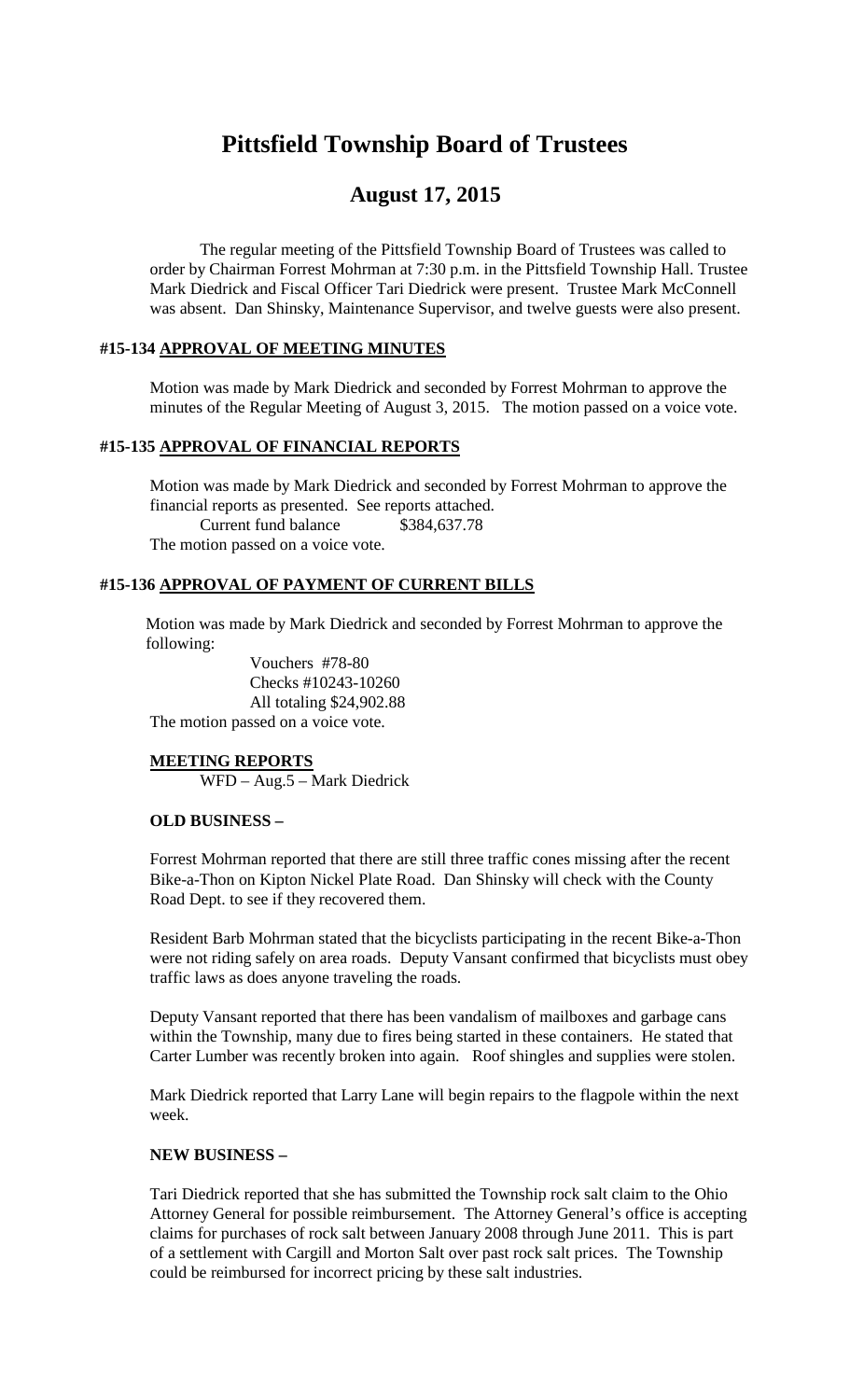# **Pittsfield Township Board of Trustees**

# **August 17, 2015**

The regular meeting of the Pittsfield Township Board of Trustees was called to order by Chairman Forrest Mohrman at 7:30 p.m. in the Pittsfield Township Hall. Trustee Mark Diedrick and Fiscal Officer Tari Diedrick were present. Trustee Mark McConnell was absent. Dan Shinsky, Maintenance Supervisor, and twelve guests were also present.

# **#15-134 APPROVAL OF MEETING MINUTES**

Motion was made by Mark Diedrick and seconded by Forrest Mohrman to approve the minutes of the Regular Meeting of August 3, 2015. The motion passed on a voice vote.

#### **#15-135 APPROVAL OF FINANCIAL REPORTS**

Motion was made by Mark Diedrick and seconded by Forrest Mohrman to approve the financial reports as presented. See reports attached. Current fund balance \$384,637.78 The motion passed on a voice vote.

# **#15-136 APPROVAL OF PAYMENT OF CURRENT BILLS**

Motion was made by Mark Diedrick and seconded by Forrest Mohrman to approve the following:

Vouchers #78-80 Checks #10243-10260 All totaling \$24,902.88 The motion passed on a voice vote.

#### **MEETING REPORTS**

WFD – Aug.5 – Mark Diedrick

#### **OLD BUSINESS –**

Forrest Mohrman reported that there are still three traffic cones missing after the recent Bike-a-Thon on Kipton Nickel Plate Road. Dan Shinsky will check with the County Road Dept. to see if they recovered them.

Resident Barb Mohrman stated that the bicyclists participating in the recent Bike-a-Thon were not riding safely on area roads. Deputy Vansant confirmed that bicyclists must obey traffic laws as does anyone traveling the roads.

Deputy Vansant reported that there has been vandalism of mailboxes and garbage cans within the Township, many due to fires being started in these containers. He stated that Carter Lumber was recently broken into again. Roof shingles and supplies were stolen.

Mark Diedrick reported that Larry Lane will begin repairs to the flagpole within the next week.

#### **NEW BUSINESS –**

Tari Diedrick reported that she has submitted the Township rock salt claim to the Ohio Attorney General for possible reimbursement. The Attorney General's office is accepting claims for purchases of rock salt between January 2008 through June 2011. This is part of a settlement with Cargill and Morton Salt over past rock salt prices. The Township could be reimbursed for incorrect pricing by these salt industries.